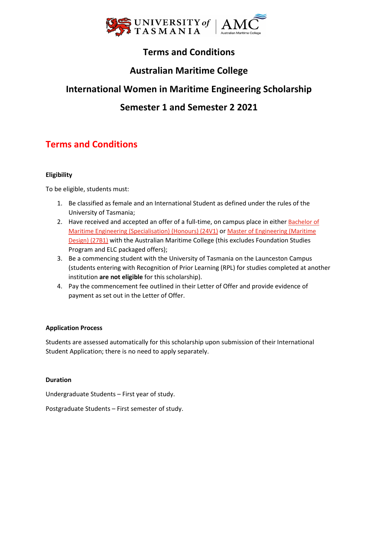

# **Terms and Conditions**

## **Australian Maritime College**

## **International Women in Maritime Engineering Scholarship**

## **Semester 1 and Semester 2 2021**

# **Terms and Conditions**

## **Eligibility**

To be eligible, students must:

- 1. Be classified as female and an International Student as defined under the rules of the University of Tasmania;
- 2. Have received and accepted an offer of a full-time, on campus place in either [Bachelor of](https://www.utas.edu.au/courses/cse/courses/24v1-bachelor-of-maritime-engineering-specialisation-honours) Maritime [Engineering \(Specialisation\) \(Honours\)](https://www.utas.edu.au/courses/cse/courses/24v1-bachelor-of-maritime-engineering-specialisation-honours) (24V1) or [Master of Engineering \(Maritime](https://www.utas.edu.au/courses/amc/courses/27b1-master-of-engineering-maritime-design)  [Design\) \(27B1\)](https://www.utas.edu.au/courses/amc/courses/27b1-master-of-engineering-maritime-design) with the Australian Maritime College (this excludes Foundation Studies Program and ELC packaged offers);
- 3. Be a commencing student with the University of Tasmania on the Launceston Campus (students entering with Recognition of Prior Learning (RPL) for studies completed at another institution **are not eligible** for this scholarship).
- 4. Pay the commencement fee outlined in their Letter of Offer and provide evidence of payment as set out in the Letter of Offer.

## **Application Process**

Students are assessed automatically for this scholarship upon submission of their International Student Application; there is no need to apply separately.

### **Duration**

Undergraduate Students – First year of study.

Postgraduate Students – First semester of study.